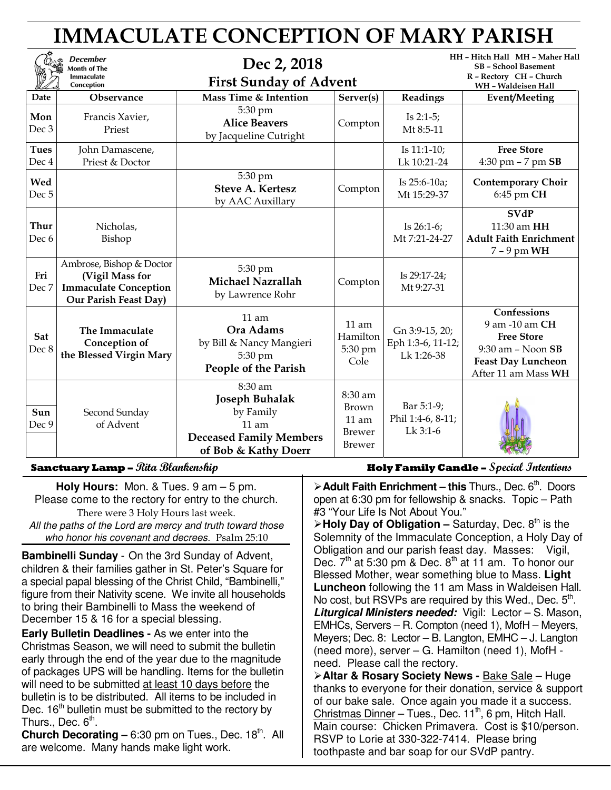# IMMACULATE CONCEPTION OF MARY PARISH

| <b>December</b><br>Month of The<br><b>Immaculate</b><br>Conception |                                                                                                      | Dec 2, 2018<br><b>First Sunday of Advent</b>                                                                       |                                                        | HH - Hitch Hall MH - Maher Hall<br><b>SB - School Basement</b><br>R - Rectory CH - Church<br>WH - Waldeisen Hall |                                                                                                                               |
|--------------------------------------------------------------------|------------------------------------------------------------------------------------------------------|--------------------------------------------------------------------------------------------------------------------|--------------------------------------------------------|------------------------------------------------------------------------------------------------------------------|-------------------------------------------------------------------------------------------------------------------------------|
| Date                                                               | <b>Observance</b>                                                                                    | Mass Time & Intention                                                                                              | Server(s)                                              | Readings                                                                                                         | Event/Meeting                                                                                                                 |
| Mon<br>Dec 3                                                       | Francis Xavier,<br>Priest                                                                            | 5:30 pm<br><b>Alice Beavers</b><br>by Jacqueline Cutright                                                          | Compton                                                | Is $2:1-5$ ;<br>Mt 8:5-11                                                                                        |                                                                                                                               |
| <b>Tues</b><br>Dec 4                                               | John Damascene,<br>Priest & Doctor                                                                   |                                                                                                                    |                                                        | Is 11:1-10;<br>Lk 10:21-24                                                                                       | <b>Free Store</b><br>4:30 pm $-7$ pm $SB$                                                                                     |
| Wed<br>Dec <sub>5</sub>                                            |                                                                                                      | 5:30 pm<br><b>Steve A. Kertesz</b><br>by AAC Auxillary                                                             | Compton                                                | Is 25:6-10a;<br>Mt 15:29-37                                                                                      | <b>Contemporary Choir</b><br>6:45 pm CH                                                                                       |
| <b>Thur</b><br>Dec 6                                               | Nicholas,<br>Bishop                                                                                  |                                                                                                                    |                                                        | Is $26:1-6$ ;<br>Mt 7:21-24-27                                                                                   | <b>SVdP</b><br>11:30 am HH<br><b>Adult Faith Enrichment</b><br>$7 - 9$ pm WH                                                  |
| Fri<br>Dec 7                                                       | Ambrose, Bishop & Doctor<br>(Vigil Mass for<br><b>Immaculate Conception</b><br>Our Parish Feast Day) | 5:30 pm<br><b>Michael Nazrallah</b><br>by Lawrence Rohr                                                            | Compton                                                | Is 29:17-24;<br>Mt 9:27-31                                                                                       |                                                                                                                               |
| Sat<br>Dec 8                                                       | The Immaculate<br>Conception of<br>the Blessed Virgin Mary                                           | 11 am<br>Ora Adams<br>by Bill & Nancy Mangieri<br>5:30 pm<br>People of the Parish                                  | $11$ am<br>Hamilton<br>5:30 pm<br>Cole                 | Gn 3:9-15, 20;<br>Eph 1:3-6, 11-12;<br>Lk 1:26-38                                                                | Confessions<br>9 am -10 am CH<br><b>Free Store</b><br>$9:30$ am - Noon SB<br><b>Feast Day Luncheon</b><br>After 11 am Mass WH |
| Sun<br>Dec 9                                                       | Second Sunday<br>of Advent                                                                           | 8:30 am<br><b>Joseph Buhalak</b><br>by Family<br>$11$ am<br><b>Deceased Family Members</b><br>of Bob & Kathy Doerr | 8:30 am<br>Brown<br>$11$ am<br><b>Brewer</b><br>Brewer | Bar 5:1-9;<br>Phil 1:4-6, 8-11;<br>Lk 3:1-6                                                                      |                                                                                                                               |

**Holy Hours:** Mon. & Tues. 9 am – 5 pm. Please come to the rectory for entry to the church. There were 3 Holy Hours last week. All the paths of the Lord are mercy and truth toward those

who honor his covenant and decrees. Psalm 25:10

**Bambinelli Sunday** - On the 3rd Sunday of Advent, children & their families gather in St. Peter's Square for a special papal blessing of the Christ Child, "Bambinelli," figure from their Nativity scene. We invite all households to bring their Bambinelli to Mass the weekend of December 15 & 16 for a special blessing.

**Early Bulletin Deadlines -** As we enter into the Christmas Season, we will need to submit the bulletin early through the end of the year due to the magnitude of packages UPS will be handling. Items for the bulletin will need to be submitted at least 10 days before the bulletin is to be distributed. All items to be included in Dec.  $16<sup>th</sup>$  bulletin must be submitted to the rectory by Thurs., Dec.  $6^{\text{th}}$ .

**Church Decorating – 6:30 pm on Tues., Dec. 18th. All** are welcome. Many hands make light work.

**Sanctuary Lamp –** Rita Blankenship **Holy Family Candle –** Special Intentions

**Adult Faith Enrichment – this Thurs., Dec. 6th. Doors.** open at 6:30 pm for fellowship & snacks. Topic – Path #3 "Your Life Is Not About You."

≻ Holy Day of Obligation – Saturday, Dec. 8<sup>th</sup> is the Solemnity of the Immaculate Conception, a Holy Day of Obligation and our parish feast day. Masses: Vigil, Dec.  $7<sup>th</sup>$  at 5:30 pm & Dec.  $8<sup>th</sup>$  at 11 am. To honor our Blessed Mother, wear something blue to Mass. **Light Luncheon** following the 11 am Mass in Waldeisen Hall. No cost, but RSVPs are required by this Wed., Dec.  $5<sup>th</sup>$ . **Liturgical Ministers needed:** Vigil: Lector – S. Mason, EMHCs, Servers – R. Compton (need 1), MofH – Meyers, Meyers; Dec. 8: Lector – B. Langton, EMHC – J. Langton (need more), server – G. Hamilton (need 1), MofH need. Please call the rectory.

**Altar & Rosary Society News -** Bake Sale – Huge thanks to everyone for their donation, service & support of our bake sale. Once again you made it a success. Christmas Dinner – Tues., Dec.  $11<sup>th</sup>$ , 6 pm, Hitch Hall. Main course: Chicken Primavera. Cost is \$10/person. RSVP to Lorie at 330-322-7414. Please bring toothpaste and bar soap for our SVdP pantry.